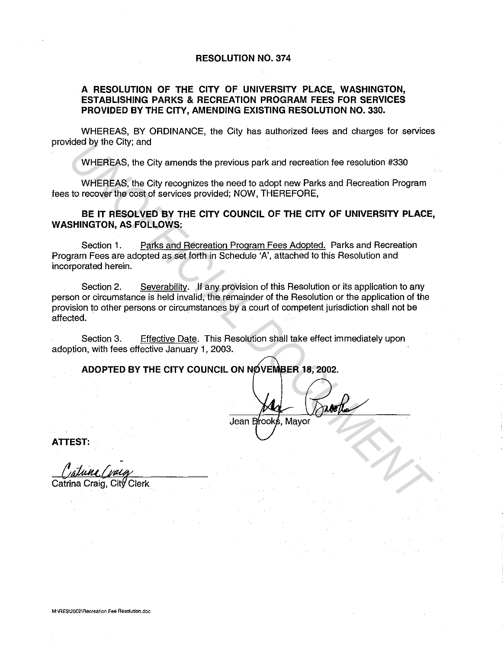## **RESOLUTION NO. 374**

## **A RESOLUTION OF THE CITY OF UNIVERSITY PLACE, WASHINGTON, ESTABLISHING PARKS & RECREATION PROGRAM FEES FOR SERVICES PROVIDED BY THE CITY, AMENDING EXISTING RESOLUTION NO. 330.**

WHEREAS, BY ORDINANCE, the City has authorized fees and charges for services provided by the City; and

WHEREAS, the City amends the previous park and recreation fee resolution #330

WHEREAS, the City recognizes the need to adopt new Parks and Recreation Program fees to recover the cost of services provided; NOW, THEREFORE,

**BE IT RESOLVED BY THE CITY COUNCIL OF THE CITY OF UNIVERSITY PLACE, WASHINGTON, AS FOLLOWS:** 

Section 1. Parks and Recreation Program Fees Adopted. Parks and Recreation Program Fees are adopted as set forth in Schedule 'A', attached to this Resolution and incorporated herein.

Section 2. Severability. If any provision of this Resolution or its application to any person or circumstance is held invalid, the remainder of the Resolution or the application of the provision to other persons or circumstances by a court of competent jurisdiction shall not be affected. **UNIFIFICAS, the City amends the previous park and recreation fee resolution #330**<br> **UNIFIFICAS, the City recognizes the need to adopt new Parks and Recreation Program**<br> **UNIFIFICAS, the City recognizes the need to adopt n** 

Section 3. Effective Date. This Resolution shall take effect immediately upon adoption, with fees effective January 1, 2003.

**ADOPTED BY THE CITY COUNCIL ON NOVEMBER 18. 2002.** 

Jean

**ATTEST:**